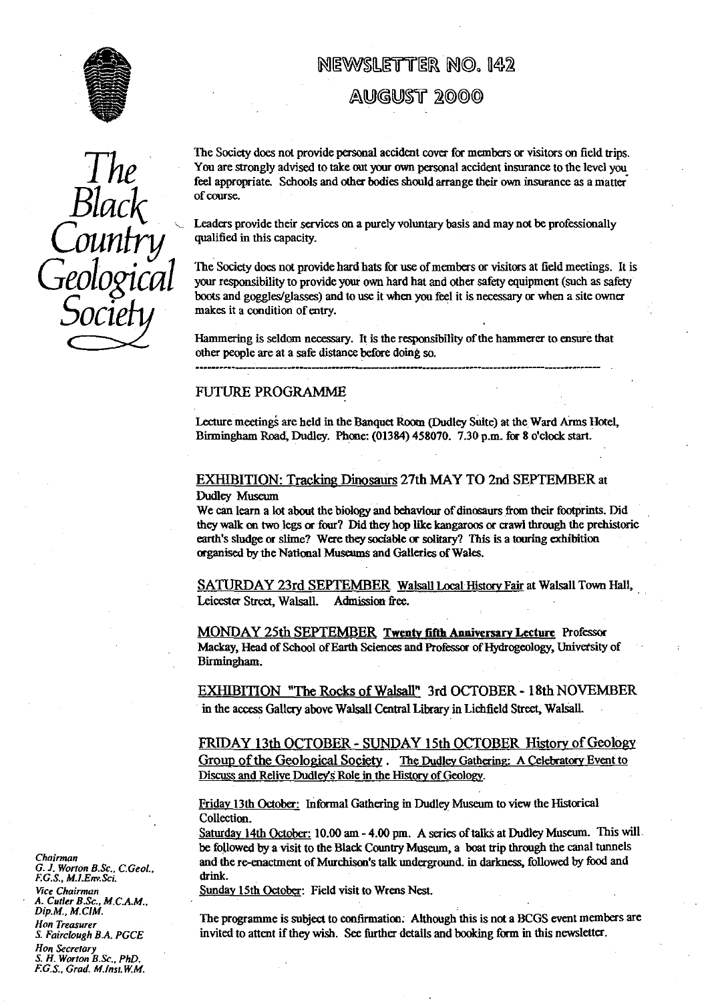

# NEWSLETTER NO. 142

AUGUST 2000



The Society does not provide personal accident cover for members or visitors on field trips.<br>You are strongly advised to take out your own personal accident insurance to the level you **J 110** You are strongly advised to take out your own personal accident insurance to the level you feel appropriate. Schools and other bodies should arrange their own insurance as a matter

> Leaders provide their services on a purely voluntary basis and may not be professionally qualified in this capacity.<br>The Society does not provide hard hats for use of members or visitors at field meetings. It is

Geological The Society does not provide hard hats for use of members or visitors at field meetings. It is<br>soort and goodscieled asset) and to use it when you feel it is necessary or when a site owner boots and goggles/glasses) and to use it when you feel it is necessary or when a site owner makes it a condition of entry.

> Hammering is seldom necessary. It is the responsibility of the hammerer to ensure that other people are at a safe distance before doing so.

## FUTURE **PROGRAMME**

Lecture meetings are held in the Banquet Room (Dudley Suite) at the Ward Arms Hotel, Birmingham Road, Dudley. Phone: (01384) 458070. 7.30 p.m. for 8 o'clock start\_

EXHIBITION: Tracking Dinosaurs 27th MAY TO 2nd SEPTEMBER at Dudley Museum

We can learn a lot about the biology and behaviour of dinosaurs from their footprints. Did they walk on two legs or four? Did they hop like kangaroos or crawl through the prehistoric earth's sludge or slime? Were they sociable or solitary? This is a touring exhibition organised by the National Museums and **Galleries** of Wales.

SATURDAY 23rd SEPTEMBER Walsall Local History Fair at Walsall Town Hall, Leicester Street, Walsall. Admission free.

MONDAY 25th SEPTEMBER Twenty fi**ft**h Anniversar<sup>y</sup> Lecture Professor Mackay, Head of School of Earth Sciences and Professor **of** Hydrogeology, University of Birmingham.

in the access Gallery above Walsall Central Library in Lichfield Street, Walsall.

EXHIBITION "The Rocks of Walsall" 3rd OCTOBER - 18th NOVEMBER<br>in the access Gallery above Walsall Central Library in Lichfield Street, Walsall.<br>FRIDAY 13th OCTOBER - SUNDAY 15th OCTOBER History of Geology<br>Group of the Geol FRIDAY 13th OCTOBER - SUNDAY 15th OCTOBER History of Geology Group of the Geological Society . The Dudley Gathering: A Celebratory Event to s Role in the History of Geology.

Friday 13th October: Informal Gathering in Dudley Museum to view the Historical Collection.

Saturday 14th October: 10.00 am - 4.00 pm. A series of talks at Dudley Museum. This will. be followed *by a* visit to the Black Country Museum, a boat trip through the canal tunnels Chairman<br>G. J. Worton B.Sc., C.Geol., and the re-enactment of Murchison's talk underground, in darkness, followed by food and<br>F.G.S., M.I.Env.Sci. and the re-enactment of Murchison's talk underground, in darkness, followed

**Sunday 15th October: Field visit to Wrens Nest.** 

*Hon Treasurer* The programme is subject to confirmation. Although this is not a BCGS event members are *Hon Treasurer* S. Fairclough B.A. PGCE invited to attent if they wish. See further details and booking form in this n *invited to attent if they wish.* See further details and booking form in this newsletter.

*G. J. Worton B.Sc., C.Geol., F.G.S., M.I.Env.Sci.*<br>*F.G.S., M.I.Env.Sci. A. Cutler B.Sc., M.C.A.M., Dip.M., M.CIM. Hon Secretary S. H. Worton B.Sc., PhD. F.G.S., Grad. M.inst.W.M.*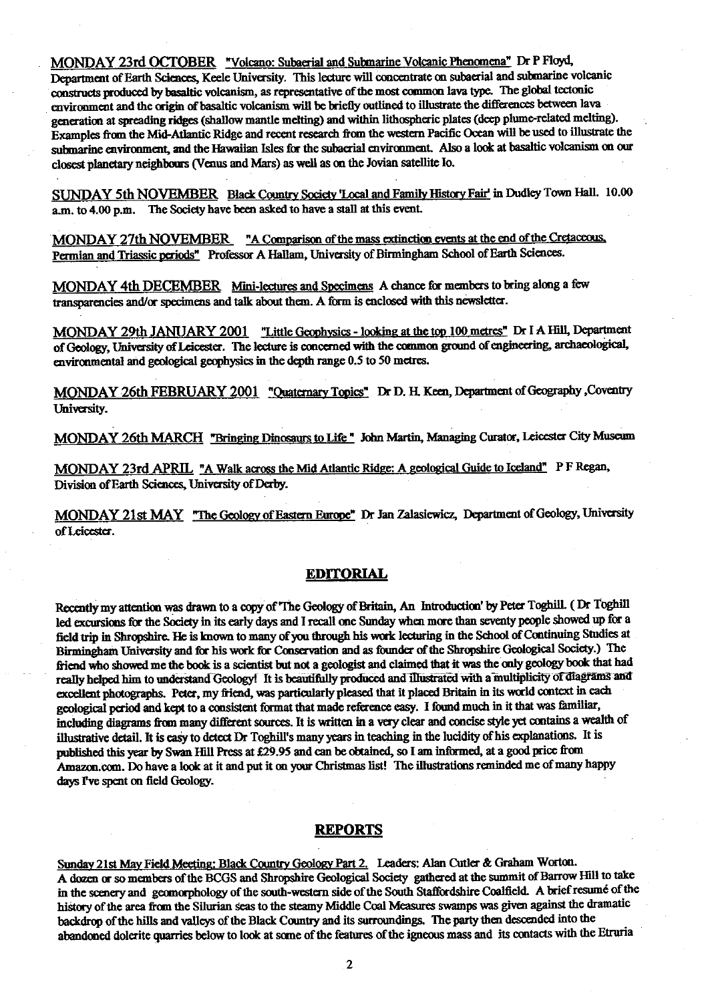MONDAY 23rd **OCTOBER "Volcano: Subaerial** and Submarine V lcanic Phenomena" Dr P Floyd, Department of Earth Sciences, Keele University. This lecture will concentrate on subaerial and submarine volcanic constructs produced by basaltic volcanism, as representative of the most common lava type. The global tectonic environment and the origin of basaltic volcanism will be briefly outlined to illustrate the differences between lava generation at spreading ridges (shallow mantle melting) and within lithospheric plates (deep plume-related melting). Examples from the Mild-Atlantic Ridge and recent research from the western Pacific Ocean will be used to illustrate the submarine environment, and the Hawaiian Isles for the subaeriai environment. Also a look at basaltic volcanism on our closest planetary neighbours (Venus and Mars) as well as on the Jovian satellite lo.

SUNDAY 5th NOVEMBER Black Country Society 'Local and Family History Fair' in Dudley Town Hall. 10.00 a.m. to 4.00 p.m. The Society have been asked to have a stall at this event.

MONDAY 27th NOVEMBER "A Comparison of the mass extinction events at the end of the Cretaceous. Permian and Triassic periods" Professor A Hallam, University of Birmingham School of Earth Sciences.

MONDAY 4th DECEMBER Mini-lectures and Specimens A chance for members to bring along a few transparencies and/or specimens and talk about them. A form is enclosed with this newsletter.

MONDAY 29th JANUARY 2001 "Little Geophysics - looking at the top 100 metres" Dr I A Hill, Department of Geology, University of Leicester. The lecture is concerned with the common ground of engineering, archaeological, environmental and geological geophysics **in** the depth range 0.5 to 50 metres.

MONDAY 26th FEBRUARY 2001 "Quaternary Topics" **Dr D.** H. Keen, Department of Geography ,Coventry University.

MONDAY 26th MARCH "Bringing Dinosaurs to Life " John Martin, Managing Curator, Leicester City Museum

MONDAY 23rd APRIL "A Walk across the Mid Atlantic Ridge: **A** geological Guide to Iceland" P F Regan, Division of Earth Sciences, University of Derby.

MONDAY 21st MAY "The Geology of Eastern Europe" Dr Jan Zalasiewicz, Department of Geology, University of Leicester.

## **EDJTORIAL**

Recently my attention was drawn to a copy of'The Geology of Britain, An Introduction' by Peter Toghill. (Dr Toghill led excursions for the Society in its early days and I recall one Sunday when more than seventy people showed up for a field trip in Shropshire. He is known to many of you through his work lecturing in the School of Continuing Studies at Birmingham University and for his work for Conservation and as **founder** of the Shropshire Geological Society.) The friend who showed me the book is a scientist but not a geologist and claimed that it was the only geology book that had really helped him to understand Geology! It is beautifully produced and illustrated with a multiplicity of diagrams and excellent photographs. Peter, my friend, was particularly pleased that it placed Britain in its world context in each geological period and kept to a consistent format that made reference easy. I found much in it that was familiar, including diagrams from many different sources. It is written in a very clear and concise style *yet* contains a wealth of illustrative detail. **It is** easy to *detect Dr Toghill's* many years in teaching in the lucidity of his explanations. It is published this year by Swan Hill Press at £29.95 and can be obtained, so I am informed, at a good price from Amazon.com. Do have a look at it and put it on your Christmas list! The illustrations reminded me of many happy days I've spent on field Geology.

# **REPORTS**

Sunday 21st May Field Meeting: Black Country Geology Part 2. Leaders: Alan Cutler & Graham Worton. A dozen or so members of the BCGS and Shropshire Geological Society gathered at the summit of Barrow Hill to take in the scenery and geomorphology of the south-western side of the South Staffordshire Coalfield. A brief resume of the history of the area from the Silurian seas to the steamy Middle Coal Measures swamps was given against the dramatic backdrop of the hills and valleys of the Black Country and its surroundings. The party then descended into the abandoned dolerite quarries below to look at some of the features of the igneous mass and its contacts with the Etruria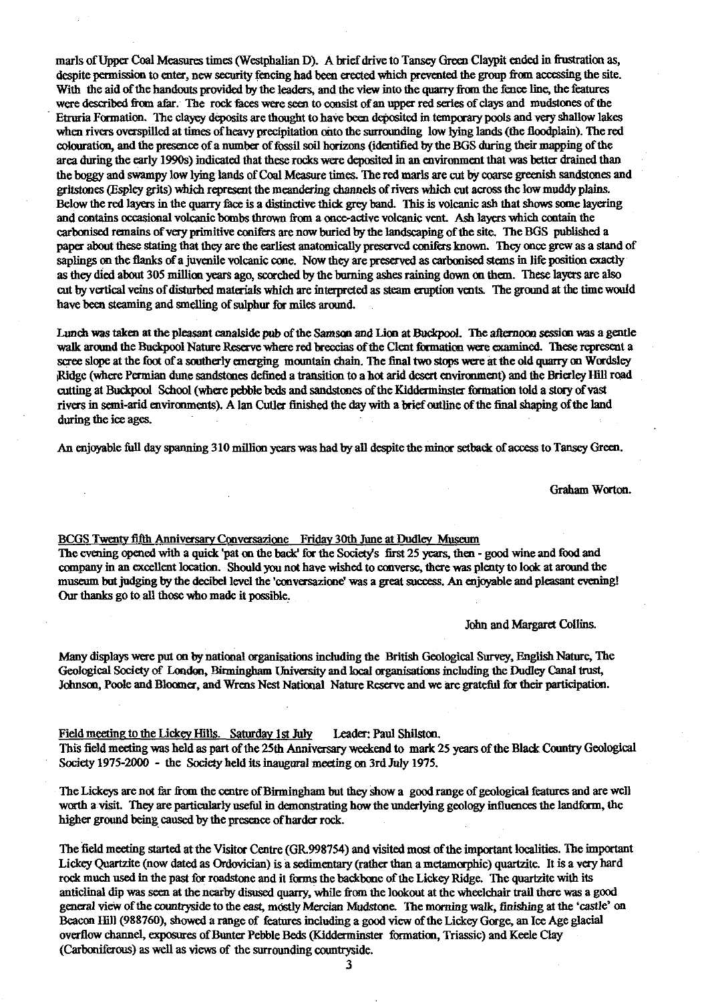marls of Upper Coal Measures times (Westphalian D). A brief drive to Tansey Green Claypit ended in frustration as, despite permission to enter, new security fencing had been erected which prevented the group from accessing the site. With the aid of the handouts provided by the leaders, and the view into the quarry from the fence line, the features were described *from* afar. The rock faces were seen to consist of an upper red series of clays and mudstoaes of the Etruria Formation. The *clayey* deposits are thought to have been deposited in temporary pools and very shallow lakes when rivers overspilled at tines of heavy precipitation onto the surrounding low lying lands (the floodplain). The red colouration, and the presence of a number of fossil soil horizons (identified by the BGS during their mapping of the area during the early 1990s) indicated that these rocks were deposited in an environment that was better drained than the boggy and swampy low lying lands of Coal Measure times. The red marls are cut by coarse greenish sandstones and gritstones (Espley grits) which represent the meandering channels of rivers which cut across the low muddy plains. Below the red layers in the quarry face is a distinctive thick grey band. This is volcanic ash that shows some layering and contains occasional volcanic barbs thrown from a once-active volcanic vent. Ash layers which contain the carbonised remains of very primitive conifers are now buried by the landscaping of the site. The BGS published a paper about these stating that they are the earliest anatomically preserved conifers known. They once grew as a stand of saplings on the flanks of a juvenile volcanic cone. Now they are preserved as carbonised stems in life position exactly as they died about 305 million years ago, scorched by the burning ashes raining down on them. These layers are also cut by vertical veins of disturbed materials which are interpreted as steam eruption vents. The ground at the time would have been steaming and smelling of sulphur for miles around.

Lunch was taken at the pleasant canalside pub of the Samson and Lion at **I3uckpool. The** afternoon session was a gentle walk around the Buekpool Nature Reserve where red breccias of the Cleat formation were examined. These represent a scree slope at the foot of a southerly emerging mountain chain. The final two stops were at the old quarry on Wordsley Ridge (where Permian dune sandstones defined a transition to a hot and desert environment) and the Brierley Hill road cutting at Buckpool School (where pebble beds and sandstones of the Kidderminster formation told a story of vast rivers in semi-arid environments). Alan Cutler finished the day with a brief outline of the final shaping of the land during the ice ages.

An enjoyable full day spanning 310 million years was had by all despite the minor setback of access to Tansey Green.

Graham Worton.

# BCGS Twenty fifth Anniversary Conversazione Friday 30th June at Dudley Museum

The evening opened with a quick 'pat on the back' for the Society's first 25 years, then - good wine and food and company in an excellent location. Should you not have wished to converse, there was plenty to look at around the museum but judging by the decibel level **the'conversazione'** was a great success. An enjoyable and pleasant evening! Our thanks go to all those who made it possible.

### John and Margaret Collins.

Many displays were put on by national organisations including the British Geological Survey, English Nature, The Geological Society of Loudon, Birmingham University and local organisations including the Dudley Canal trust, Johnson, Poole and Bloomer, and Wrens Nest National Nature Reserve and we arc grateful for their participation.

Field meeting to the Lickey Hills. Saturday 1st July Leader: Paul Shilston. This field meeting was held as part of the 25th Anniversary weekend to mark 25 years of the Black Country Geological Society 1975-2000 - the Society held its inaugural meeting on 3rd July 1975.

The Lickeys are not far from the centre of Birmingham but they show a good range of geological features and are well worth a visit. They are particularly useful in demonstrating how the underlying geology influences the landform, the higher ground being caused by the presence of harder rock.

The field meeting started at the Visitor Centre (G*R.*998754) and visited most of the important localities. The important Lickey Quartzite (now dated as Ordovician) is a sedimentary (rather than a metamorphic) quartzite. It is a very hard rock much used in the past for roadstone and it forms the backbone of the Lickey Ridge. The quartzite with its anticlinal dip was seen at the nearby disused quarry, while from the lookout at the wheelchair trail there was a good general view of the countryside to the east, mostly Mercian Mudstone. The morning walk, finishing at the 'castle' on Beacon Hill (988760), showed a range of features including a good view of the Lickey Gorge, an Ice Age glacial overflow channel, exposures of Bunter Pebble Beds (Kidderminster formation, Triassic) and Keele Clay (Carboniferous) as well as views of the surrounding countryside.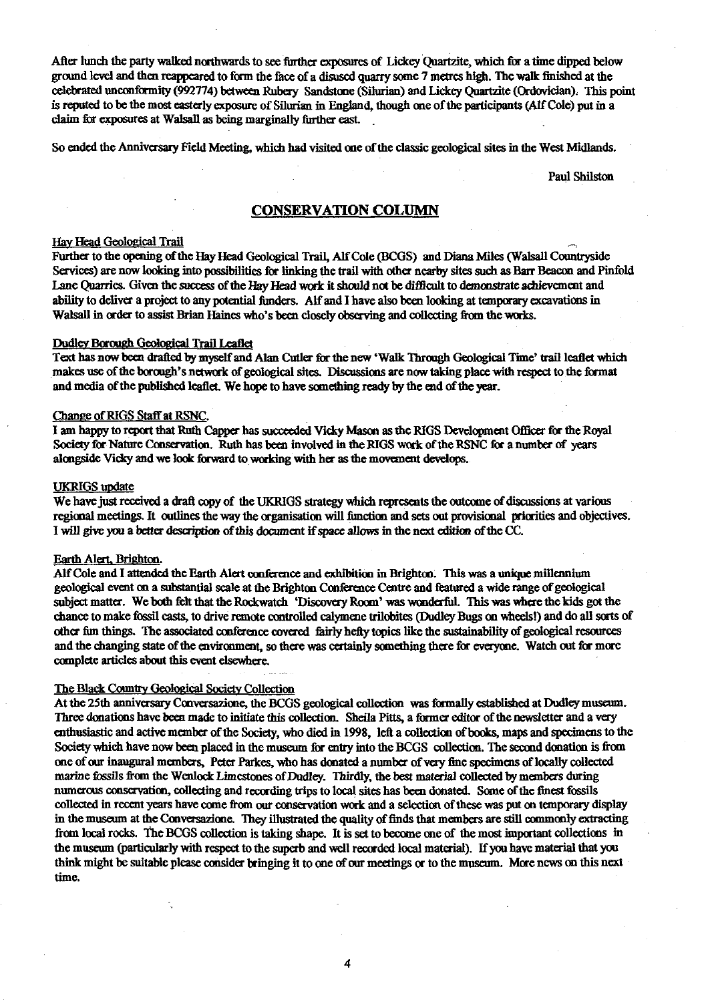After lunch the pa**rt**y walked northwards to see further exposures of Lickey Quartzite, which for a time dipped below ground level and then reappeared to form the face of a disuscd quarry some 7 metres high. The walk finished at the celebrated unconformity (992774) between Rubery Sandstone (Silurian) and Lickcy Quartzite (Ordovician): This point is reputed to be the most easterly exposure of Silurian in England, though one of the participants (Alf Cole) put in a claim for exposures at Walsall as being marginally further east.

So ended the Anniversary Field Meeting, which had visited one of the classic geological sites in the West Midlands.

Paul Shilston

## CONSERVATION COLUMN

# <u>Hay Head Geological Trail</u>

Further to the opening of the Hay Head Geological Trail, Alf Cole (BCGS) and Diana Miles (Walsall Countryside Services) are now looking into possibilities for linking the trail with other nearby sites such as Barr Beacon and Pinfold Lane Quarries. Given the success of the Hay Head work it should not be difficult to dcmmstrate achievement and ability to deliver a project to any potential funders. Alf and I have also been looking at temporary excavations in Walsall in order to assist Brian Haines who's been closely observing and collecting from the works.

#### Dudley Borough Geological Trail Leaflet

Text has now been drafted by myself and Alan Cutler for the new 'Walk Through Geological Time' trail leaflet which makes use of the bough's **network** of geological sites. Discussions are now taking place with r**es**pect to the format and media of the published leaflet. We hope to have something ready by the **^d** of the year.

#### Cbanae of RIGS Staff at RSNC.

I am happy to report that Ruth Capper has succeeded Vicky Mason as the RIGS Development Officer for the Royal Society for Nature Conservation. Ruth has been involved in the RIGS **work** of the RSNC for a number of years **alongside** Vicky and we look forward **to** working with her as the movement develops..

#### UKRIGS update

We have just received a draft copy of the UKRIGS strategy which represents the outcome of discussions at various regional meetings. It outlines the way the organisation will function and sets out provisional priorities and objectives. I will give you a better description of this document if *space allows* in the next edition of the CC.

#### Earth Alert, Brighton.

**All** Cole and I attended the Earth Alert conference and exhibition in Brighton. This was a unique millennium geological event on a substantial scale at the Brighton Conference Cen**tr**e and featured a wide range of geological subject matter. We both felt that the Rockwatch 'Discovery Room' was wonderful. This was where the kids got the chance to make fossil casts, to drive remote controlled calymene trilobites (Dudley Bugs on wheels!) and do all sorts of other fim things. The associated conference covered fairly hefty topics like the sustainability of geological resources and the changing state of the environment, so there was certainly something there *for* everyone. Watch out for more complete articles about this event elsewhere.

# The Black Countr<sup>y</sup> Geological Society **Collection**

At the 25th anniversary Conversazione, the BCGS geological collection was formally established at Dudley museum. Three donations have been made to initiate this collection. Sheila **Pitts,** a former editor of the newsletter and a very enthusiastic and active member of the Society, who died in 1998, **left** a collection of books, maps and specimens to the Society which have now been pla**ce**d in the museum for ent**ry** into the BCGS collection. The second donation is from one of our inaugural members, Peter Parkes, who has donated a number of very fine specimens of locally collected marine fossils from the Wenlock Limestones of Dudley. Thirdly, the best material collected by members during numerous conservation, collecting and recording trips to local sites has been donated. Some of the finest fossils collected in recent years have come from our conservation work and a selection of these was put on temporary display in the museum at the Convetsazione. They illustrated the quality of finds that members are still commonly extracting from local rocks. The BCGS collection is taking shape. It is set to become one of the most important collections in the museum (particularly with respect to the superb and well recorded local material). If you have material that you **think** might be suitable please consider bringing it to one of our meetings or to the museum. **More** news on this next time.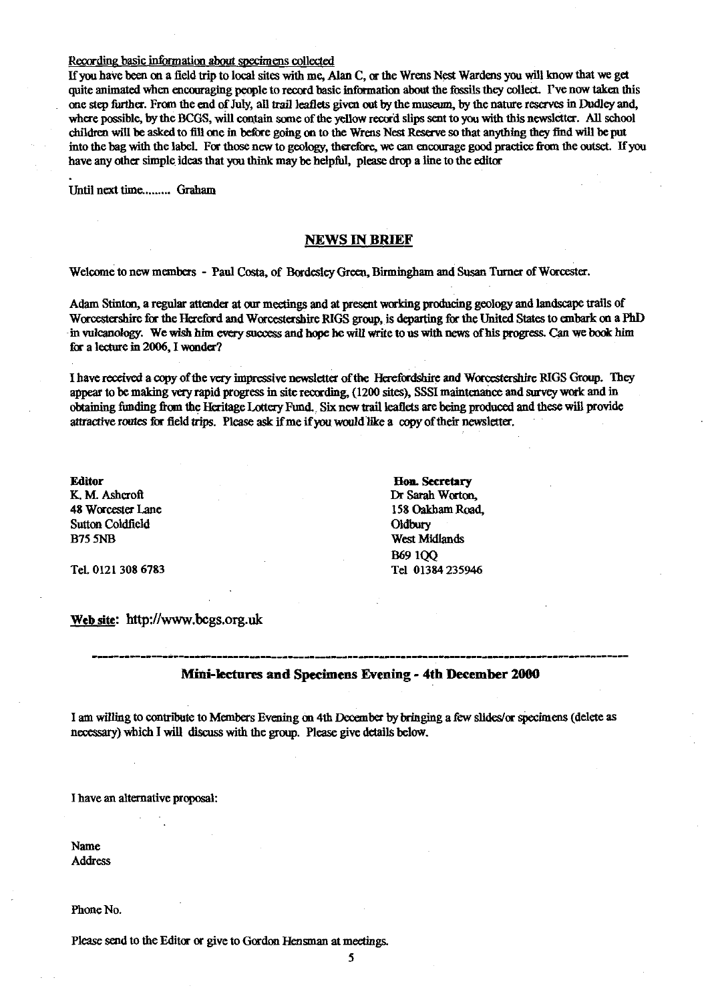#### Recording basic information about specimens collected

If you have been ou a field trip to local sites with me, Alan C, or the Wrens *Nest* Wardens you will know that we get quite animated when encouraging people to record basic information about the fossils they collect. I've now taken this one step further. From the end of July, all trail leaflets given out by the museum, by the nature reserves in Dudley and, where possible, by the BCGS, will contain some of the yellow record slips sent to you with this newsletter. All school children will be asked to fill one in before going on to the Wrens Nest Reserve so that anything they find will be put into the bag with the label. For those new to geology, therefore, we can encourage good practice from the outset. If you have any other simple ideas that you think may be helpful, please drop a line to the editor

Until next time......... Graham

## **NEWS IN BRIEF**

Welcome to new members - Paul Costa, of Bordesley Green, Birmingham and Susan Turner of Worcester.

Adam Stinton, a regular attender at our meetings and at present working producing geology and landscape trails of Worcestershire for the Hereford and Worcestershire RIGS group, is departing for the United States to embark on a PhD in vulcanology. We wish him every success and hope he will write to us with news of his progress. Can we book him for a lecture in 2006, I wonder?

I have received a copy of the *very* impressive newsletter of the He<sup>r</sup>efordshire and Worcestershire RIGS Group. They appear to be malting very rapid progress in site recording, (1200 sites), 5SSI maintenance and survey work and in obtaining funding from the Heritage Lottery Fund. , Six new trail leaflets are being produced and these will provide attractive routes for field trips. Please ask if me if you would like a copy of their newsletter.

Sutton Coldfield **Oldbury**<br>
B75 5NB<br>
West Mi

**Editor Hon. Secretary**<br> **K. M. Ashcroft Hones <b>Hones Hones Hones Dr Sarah Worton** K. M. Ashcroft Dr Sarah Warton, 2008. ISBN 0-878-8-878-8-878-8-878-8-878-8-878-8-878-8-878-8-878-8-8<br>
Maxwell Dr Sarah Warton, 2008. ISBN 0-88-878-8-878-8-878-8-878-8-878-8-878-8-878-8-878-8-878-8-878-8-878-8-8-158 Oakham Road, West Midlands B69 1QQ Tel. 0121 308 6783 Tel 01384 235946

**Web** site: **[http:](http://www.bcgs.org.uk)**[/](http://www.bcgs.org.uk)**[/www.bcgs.org.uk](http://www.bcgs.org.uk)**

## **Mini-lectures and Specimens Evening - 4th December 2000**

I am willing to cont<sup>r</sup> ibute to Members Evening on 4th December by bringing a few slides/or specimens (delete as necessary) *which I* will discuss with the group. Please give details below.

I have an alternative proposal:

Name Address

Phone No.

Please send to the Editor or give to Gordon Hensman at meetings.